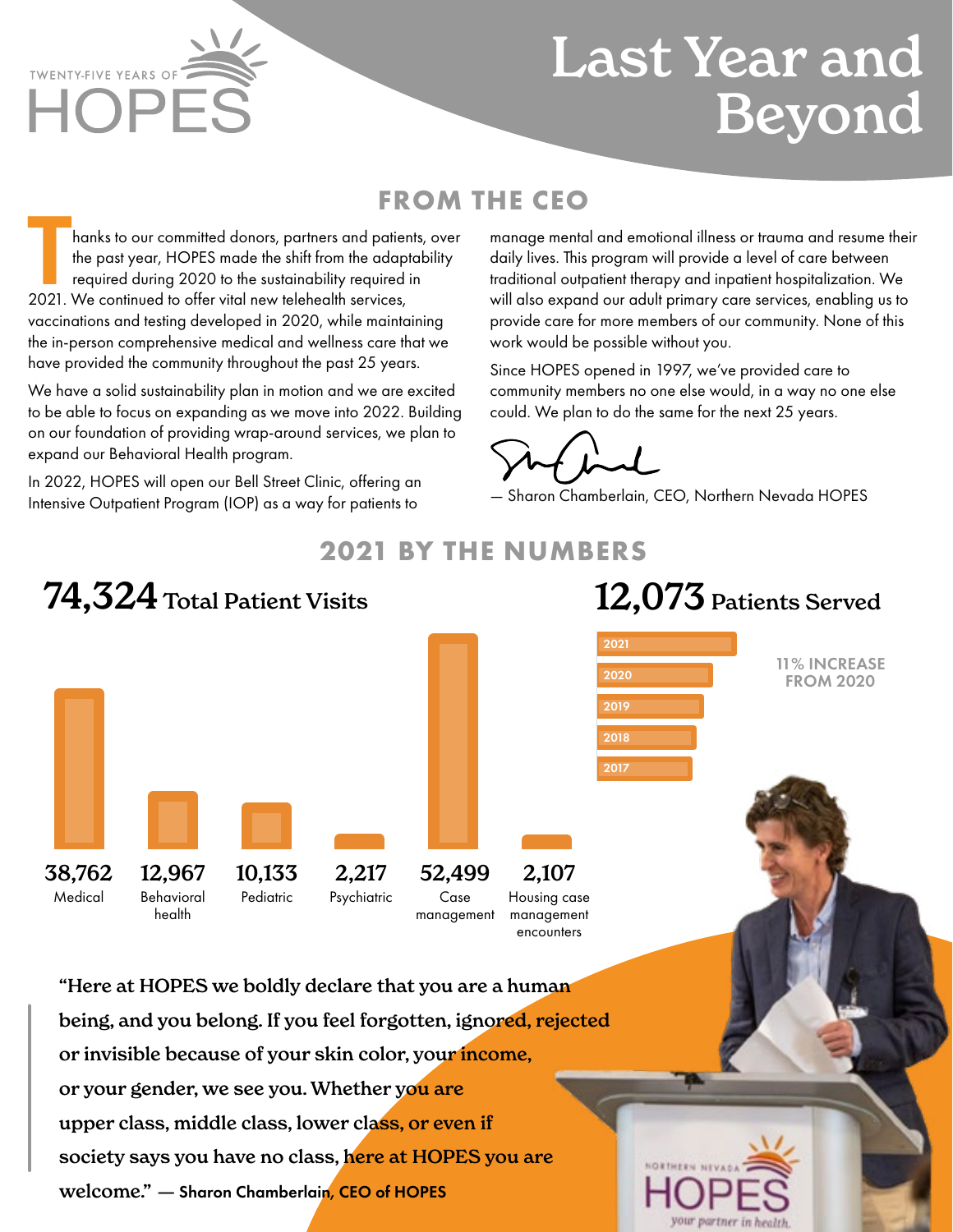**TWENTY-FIVE YEARS OF**  $\mathsf{HOP}$ 

## Last Year and Beyond

#### **FROM THE CEO**

hanks to our committed donors, partners and patients, over the past year, HOPES made the shift from the adaptability required during 2020 to the sustainability required in 2021. We continued to offer vital new telehealth services, vaccinations and testing developed in 2020, while maintaining the in-person comprehensive medical and wellness care that we have provided the community throughout the past 25 years.

We have a solid sustainability plan in motion and we are excited to be able to focus on expanding as we move into 2022. Building on our foundation of providing wrap-around services, we plan to expand our Behavioral Health program.

In 2022, HOPES will open our Bell Street Clinic, offering an Intensive Outpatient Program (IOP) as a way for patients to

manage mental and emotional illness or trauma and resume their daily lives. This program will provide a level of care between traditional outpatient therapy and inpatient hospitalization. We will also expand our adult primary care services, enabling us to provide care for more members of our community. None of this work would be possible without you.

Since HOPES opened in 1997, we've provided care to community members no one else would, in a way no one else could. We plan to do the same for the next 25 years.

— Sharon Chamberlain, CEO, Northern Nevada HOPES



### **2021 BY THE NUMBERS**

or your gender, we see you. Whether you are upper class, middle class, lower class, or even if society says you have no class, here at HOPES you are welcome." — Sharon Chamberlain, CEO of HOPES